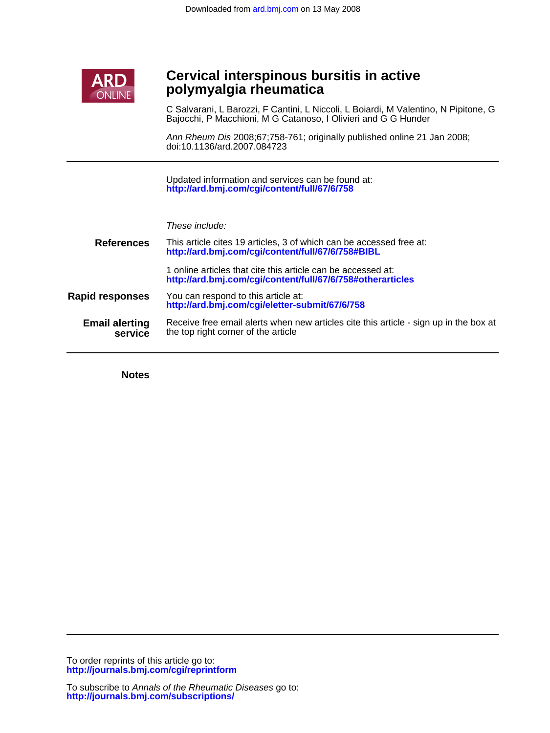

# Ī **polymyalgia rheumatica Cervical interspinous bursitis in active**

Bajocchi, P Macchioni, M G Catanoso, I Olivieri and G G Hunder C Salvarani, L Barozzi, F Cantini, L Niccoli, L Boiardi, M Valentino, N Pipitone, G

doi:10.1136/ard.2007.084723 Ann Rheum Dis 2008;67;758-761; originally published online 21 Jan 2008;

**<http://ard.bmj.com/cgi/content/full/67/6/758>** Updated information and services can be found at:

These include:

| <b>References</b>                | This article cites 19 articles, 3 of which can be accessed free at:<br>http://ard.bmj.com/cgi/content/full/67/6/758#BIBL     |  |  |  |  |  |
|----------------------------------|------------------------------------------------------------------------------------------------------------------------------|--|--|--|--|--|
|                                  | 1 online articles that cite this article can be accessed at:<br>http://ard.bmj.com/cgi/content/full/67/6/758#otherarticles   |  |  |  |  |  |
| <b>Rapid responses</b>           | You can respond to this article at:<br>http://ard.bmj.com/cgi/eletter-submit/67/6/758                                        |  |  |  |  |  |
| <b>Email alerting</b><br>service | Receive free email alerts when new articles cite this article - sign up in the box at<br>the top right corner of the article |  |  |  |  |  |

**Notes**

**<http://journals.bmj.com/cgi/reprintform>** To order reprints of this article go to: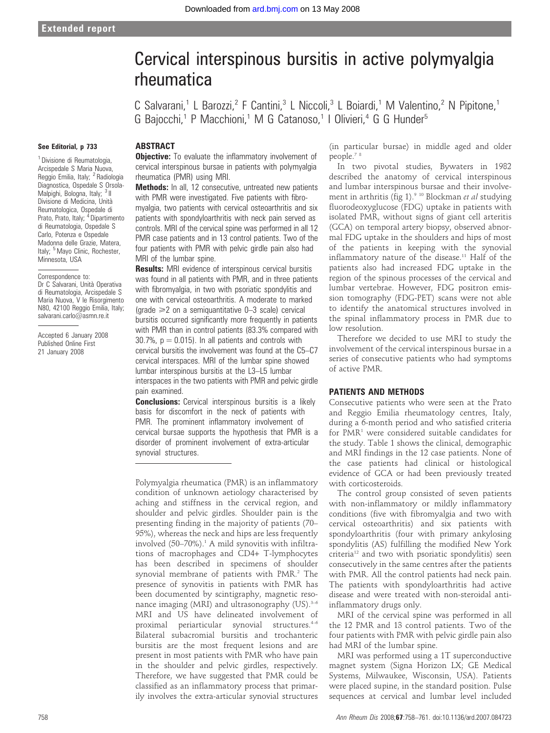# Cervical interspinous bursitis in active polymyalgia rheumatica

C Salvarani,<sup>1</sup> L Barozzi,<sup>2</sup> F Cantini,<sup>3</sup> L Niccoli,<sup>3</sup> L Boiardi,<sup>1</sup> M Valentino,<sup>2</sup> N Pipitone,<sup>1</sup> G Bajocchi,<sup>1</sup> P Macchioni,<sup>1</sup> M G Catanoso,<sup>1</sup> I Olivieri,<sup>4</sup> G G Hunder<sup>5</sup>

#### See Editorial, p 733

ABSTRACT

**Objective:** To evaluate the inflammatory involvement of cervical interspinous bursae in patients with polymyalgia rheumatica (PMR) using MRI. Methods: In all, 12 consecutive, untreated new patients

with PMR were investigated. Five patients with fibromyalgia, two patients with cervical osteoarthritis and six patients with spondyloarthritis with neck pain served as controls. MRI of the cervical spine was performed in all 12 PMR case patients and in 13 control patients. Two of the four patients with PMR with pelvic girdle pain also had MRI of the lumbar spine.

**Results:** MRI evidence of interspinous cervical bursitis was found in all patients with PMR, and in three patients with fibromyalgia, in two with psoriatic spondylitis and one with cervical osteoarthritis. A moderate to marked  $\alpha$  (grade  $\geq$  2 on a semiguantitative 0–3 scale) cervical bursitis occurred significantly more frequently in patients with PMR than in control patients (83.3% compared with 30.7%,  $p = 0.015$ ). In all patients and controls with cervical bursitis the involvement was found at the C5–C7 cervical interspaces. MRI of the lumbar spine showed lumbar interspinous bursitis at the L3–L5 lumbar interspaces in the two patients with PMR and pelvic girdle pain examined.

**Conclusions:** Cervical interspinous bursitis is a likely basis for discomfort in the neck of patients with PMR. The prominent inflammatory involvement of cervical bursae supports the hypothesis that PMR is a disorder of prominent involvement of extra-articular synovial structures.

Polymyalgia rheumatica (PMR) is an inflammatory condition of unknown aetiology characterised by aching and stiffness in the cervical region, and shoulder and pelvic girdles. Shoulder pain is the presenting finding in the majority of patients (70– 95%), whereas the neck and hips are less frequently involved  $(50-70%)$ .<sup>1</sup> A mild synovitis with infiltrations of macrophages and CD4+ T-lymphocytes has been described in specimens of shoulder synovial membrane of patients with PMR.<sup>2</sup> The presence of synovitis in patients with PMR has been documented by scintigraphy, magnetic resonance imaging (MRI) and ultrasonography  $(US)^{3-6}$ MRI and US have delineated involvement of proximal periarticular synovial structures.<sup>4-6</sup> Bilateral subacromial bursitis and trochanteric bursitis are the most frequent lesions and are present in most patients with PMR who have pain in the shoulder and pelvic girdles, respectively. Therefore, we have suggested that PMR could be classified as an inflammatory process that primarily involves the extra-articular synovial structures (in particular bursae) in middle aged and older people.7 8

In two pivotal studies, Bywaters in 1982 described the anatomy of cervical interspinous and lumbar interspinous bursae and their involvement in arthritis (fig 1).<sup>9 10</sup> Blockman *et al* studying fluorodeoxyglucose (FDG) uptake in patients with isolated PMR, without signs of giant cell arteritis (GCA) on temporal artery biopsy, observed abnormal FDG uptake in the shoulders and hips of most of the patients in keeping with the synovial inflammatory nature of the disease.<sup>11</sup> Half of the patients also had increased FDG uptake in the region of the spinous processes of the cervical and lumbar vertebrae. However, FDG positron emission tomography (FDG-PET) scans were not able to identify the anatomical structures involved in the spinal inflammatory process in PMR due to low resolution.

Therefore we decided to use MRI to study the involvement of the cervical interspinous bursae in a series of consecutive patients who had symptoms of active PMR.

#### PATIENTS AND METHODS

Consecutive patients who were seen at the Prato and Reggio Emilia rheumatology centres, Italy, during a 6-month period and who satisfied criteria for PMR<sup>1</sup> were considered suitable candidates for the study. Table 1 shows the clinical, demographic and MRI findings in the 12 case patients. None of the case patients had clinical or histological evidence of GCA or had been previously treated with corticosteroids.

The control group consisted of seven patients with non-inflammatory or mildly inflammatory conditions (five with fibromyalgia and two with cervical osteoarthritis) and six patients with spondyloarthritis (four with primary ankylosing spondylitis (AS) fulfilling the modified New York criteria12 and two with psoriatic spondylitis) seen consecutively in the same centres after the patients with PMR. All the control patients had neck pain. The patients with spondyloarthritis had active disease and were treated with non-steroidal antiinflammatory drugs only.

MRI of the cervical spine was performed in all the 12 PMR and 13 control patients. Two of the four patients with PMR with pelvic girdle pain also had MRI of the lumbar spine.

MRI was performed using a 1T superconductive magnet system (Signa Horizon LX; GE Medical Systems, Milwaukee, Wisconsin, USA). Patients were placed supine, in the standard position. Pulse sequences at cervical and lumbar level included

<sup>1</sup> Divisione di Reumatologia, Arcispedale S Maria Nuova, Reggio Emilia, Italy; <sup>2</sup> Radiologia Diagnostica, Ospedale S Orsola-Malpighi, Bologna, Italy; <sup>3</sup> II Divisione di Medicina, Unita` Reumatologica, Ospedale di Prato, Prato, Italy; <sup>4</sup> Dipartimento di Reumatologia, Ospedale S Carlo, Potenza e Ospedale Madonna delle Grazie, Matera, Italy; <sup>5</sup> Mayo Clinic, Rochester, Minnesota, USA

#### Correspondence to: Dr C Salvarani, Unità Operativa di Reumatologia, Arcispedale S Maria Nuova, V le Risorgimento N80, 42100 Reggio Emilia, Italy; salvarani.carlo@asmn.re.it

Accepted 6 January 2008 Published Online First 21 January 2008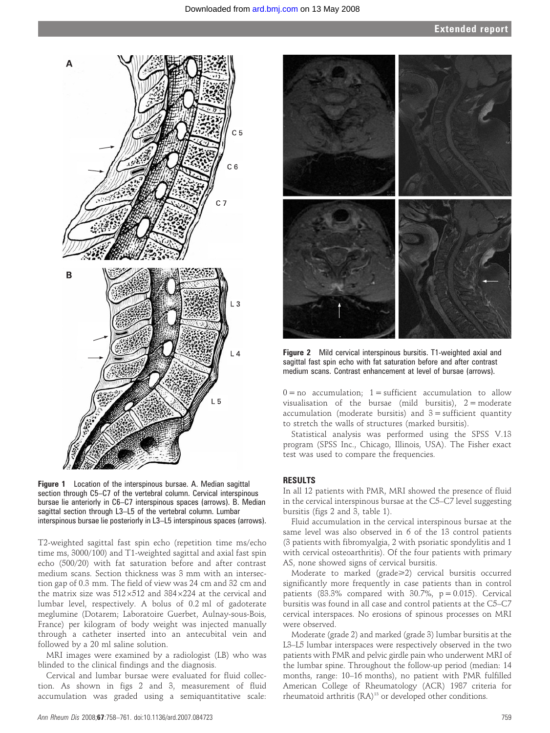

Figure 1 Location of the interspinous bursae. A. Median sagittal section through C5–C7 of the vertebral column. Cervical interspinous bursae lie anteriorly in C6–C7 interspinous spaces (arrows). B. Median sagittal section through L3–L5 of the vertebral column. Lumbar interspinous bursae lie posteriorly in L3–L5 interspinous spaces (arrows).

T2-weighted sagittal fast spin echo (repetition time ms/echo time ms, 3000/100) and T1-weighted sagittal and axial fast spin echo (500/20) with fat saturation before and after contrast medium scans. Section thickness was 3 mm with an intersection gap of 0.3 mm. The field of view was 24 cm and 32 cm and the matrix size was  $512\times512$  and  $384\times224$  at the cervical and lumbar level, respectively. A bolus of 0.2 ml of gadoterate meglumine (Dotarem; Laboratoire Guerbet, Aulnay-sous-Bois, France) per kilogram of body weight was injected manually through a catheter inserted into an antecubital vein and followed by a 20 ml saline solution.

MRI images were examined by a radiologist (LB) who was blinded to the clinical findings and the diagnosis.

Cervical and lumbar bursae were evaluated for fluid collection. As shown in figs 2 and 3, measurement of fluid accumulation was graded using a semiquantitative scale:



Figure 2 Mild cervical interspinous bursitis. T1-weighted axial and sagittal fast spin echo with fat saturation before and after contrast medium scans. Contrast enhancement at level of bursae (arrows).

 $0 = no$  accumulation; 1 = sufficient accumulation to allow visualisation of the bursae (mild bursitis),  $2 =$  moderate accumulation (moderate bursitis) and  $3 =$  sufficient quantity to stretch the walls of structures (marked bursitis).

Statistical analysis was performed using the SPSS V.13 program (SPSS Inc., Chicago, Illinois, USA). The Fisher exact test was used to compare the frequencies.

## RESULTS

In all 12 patients with PMR, MRI showed the presence of fluid in the cervical interspinous bursae at the C5–C7 level suggesting bursitis (figs 2 and 3, table 1).

Fluid accumulation in the cervical interspinous bursae at the same level was also observed in 6 of the 13 control patients (3 patients with fibromyalgia, 2 with psoriatic spondylitis and 1 with cervical osteoarthritis). Of the four patients with primary AS, none showed signs of cervical bursitis.

Moderate to marked (grade>2) cervical bursitis occurred significantly more frequently in case patients than in control patients (83.3% compared with  $30.7\%$ ,  $p = 0.015$ ). Cervical bursitis was found in all case and control patients at the C5–C7 cervical interspaces. No erosions of spinous processes on MRI were observed.

Moderate (grade 2) and marked (grade 3) lumbar bursitis at the L3–L5 lumbar interspaces were respectively observed in the two patients with PMR and pelvic girdle pain who underwent MRI of the lumbar spine. Throughout the follow-up period (median: 14 months, range: 10–16 months), no patient with PMR fulfilled American College of Rheumatology (ACR) 1987 criteria for rheumatoid arthritis (RA)<sup>13</sup> or developed other conditions.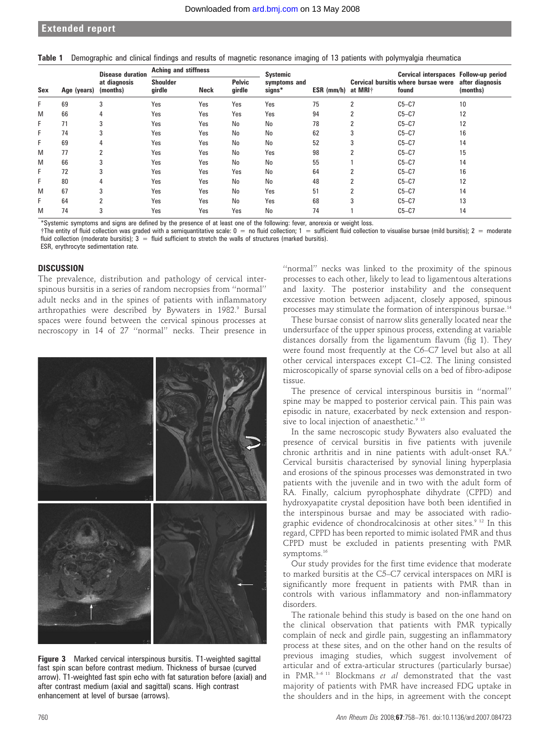### Extended report

|  |  |  |  |  |  | Table 1 Demographic and clinical findings and results of magnetic resonance imaging of 13 patients with polymyalgia rheumatica |
|--|--|--|--|--|--|--------------------------------------------------------------------------------------------------------------------------------|
|--|--|--|--|--|--|--------------------------------------------------------------------------------------------------------------------------------|

|     |             | <b>Disease duration</b><br>at diagnosis<br>(months) | <b>Aching and stiffness</b> |             |                         | Systemic               |                    |                | Cervical interspaces Follow-up period        |                             |
|-----|-------------|-----------------------------------------------------|-----------------------------|-------------|-------------------------|------------------------|--------------------|----------------|----------------------------------------------|-----------------------------|
| Sex | Age (years) |                                                     | <b>Shoulder</b><br>girdle   | <b>Neck</b> | <b>Pelvic</b><br>qirdle | symptoms and<br>signs* | ESR (mm/h) at MRI† |                | Cervical bursitis where bursae were<br>found | after diagnosis<br>(months) |
| F   | 69          | 3                                                   | Yes                         | Yes         | Yes                     | Yes                    | 75                 | 2              | $C5-C7$                                      | 10                          |
| M   | 66          |                                                     | Yes                         | Yes         | Yes                     | Yes                    | 94                 | $\overline{2}$ | $C5-C7$                                      | 12                          |
| F   | 71          | 3                                                   | Yes                         | Yes         | No                      | No                     | 78                 | 2              | $C5-C7$                                      | 12                          |
| F   | 74          |                                                     | Yes                         | Yes         | No                      | No                     | 62                 | 3              | $C5-C7$                                      | 16                          |
| F   | 69          | 4                                                   | Yes                         | Yes         | No                      | No                     | 52                 | 3              | $C5-C7$                                      | 14                          |
| M   | 77          | $\overline{2}$                                      | Yes                         | Yes         | No                      | Yes                    | 98                 | 2              | $C5-C7$                                      | 15                          |
| M   | 66          |                                                     | Yes                         | Yes         | No                      | No                     | 55                 |                | $C5-C7$                                      | 14                          |
| F   | 72          | 3                                                   | Yes                         | Yes         | Yes                     | No                     | 64                 | 2              | $C5-C7$                                      | 16                          |
| F   | 80          | 4                                                   | Yes                         | Yes         | No                      | No                     | 48                 | 2              | $C5-C7$                                      | 12                          |
| M   | 67          | 3                                                   | Yes                         | Yes         | No                      | Yes                    | 51                 | 2              | $C5-C7$                                      | 14                          |
| F   | 64          |                                                     | Yes                         | Yes         | No                      | Yes                    | 68                 | 3              | $C5-C7$                                      | 13                          |
| M   | 74          |                                                     | Yes                         | Yes         | Yes                     | No                     | 74                 |                | $C5-C7$                                      | 14                          |

\*Systemic symptoms and signs are defined by the presence of at least one of the following: fever, anorexia or weight loss.

 $\dagger$ The entity of fluid collection was graded with a semiquantitative scale:  $0 =$  no fluid collection;  $1 =$  sufficient fluid collection to visualise bursae (mild bursitis);  $2 =$  moderate fluid collection (moderate bursitis);  $3 =$  fluid sufficient to stretch the walls of structures (marked bursitis).

ESR, erythrocyte sedimentation rate.

#### **DISCUSSION**

The prevalence, distribution and pathology of cervical interspinous bursitis in a series of random necropsies from ''normal'' adult necks and in the spines of patients with inflammatory arthropathies were described by Bywaters in 1982.<sup>9</sup> Bursal spaces were found between the cervical spinous processes at necroscopy in 14 of 27 ''normal'' necks. Their presence in



Figure 3 Marked cervical interspinous bursitis. T1-weighted sagittal fast spin scan before contrast medium. Thickness of bursae (curved arrow). T1-weighted fast spin echo with fat saturation before (axial) and after contrast medium (axial and sagittal) scans. High contrast enhancement at level of bursae (arrows).

''normal'' necks was linked to the proximity of the spinous processes to each other, likely to lead to ligamentous alterations and laxity. The posterior instability and the consequent excessive motion between adjacent, closely apposed, spinous processes may stimulate the formation of interspinous bursae.<sup>14</sup>

These bursae consist of narrow slits generally located near the undersurface of the upper spinous process, extending at variable distances dorsally from the ligamentum flavum (fig 1). They were found most frequently at the C6–C7 level but also at all other cervical interspaces except C1–C2. The lining consisted microscopically of sparse synovial cells on a bed of fibro-adipose tissue.

The presence of cervical interspinous bursitis in ''normal'' spine may be mapped to posterior cervical pain. This pain was episodic in nature, exacerbated by neck extension and responsive to local injection of anaesthetic.<sup>9</sup> <sup>15</sup>

In the same necroscopic study Bywaters also evaluated the presence of cervical bursitis in five patients with juvenile chronic arthritis and in nine patients with adult-onset RA.9 Cervical bursitis characterised by synovial lining hyperplasia and erosions of the spinous processes was demonstrated in two patients with the juvenile and in two with the adult form of RA. Finally, calcium pyrophosphate dihydrate (CPPD) and hydroxyapatite crystal deposition have both been identified in the interspinous bursae and may be associated with radiographic evidence of chondrocalcinosis at other sites.<sup>9 12</sup> In this regard, CPPD has been reported to mimic isolated PMR and thus CPPD must be excluded in patients presenting with PMR symptoms.<sup>16</sup>

Our study provides for the first time evidence that moderate to marked bursitis at the C5–C7 cervical interspaces on MRI is significantly more frequent in patients with PMR than in controls with various inflammatory and non-inflammatory disorders.

The rationale behind this study is based on the one hand on the clinical observation that patients with PMR typically complain of neck and girdle pain, suggesting an inflammatory process at these sites, and on the other hand on the results of previous imaging studies, which suggest involvement of articular and of extra-articular structures (particularly bursae) in PMR. $3-6$  11 Blockmans et al demonstrated that the vast majority of patients with PMR have increased FDG uptake in the shoulders and in the hips, in agreement with the concept